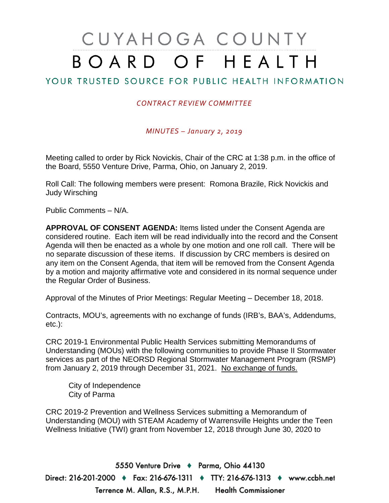## CUYAHOGA COUNTY BOARD OF HEALTH

## YOUR TRUSTED SOURCE FOR PUBLIC HEALTH INFORMATION

## *CONTRACT REVIEW COMMITTEE*

*MINUTES – January 2, 2019*

Meeting called to order by Rick Novickis, Chair of the CRC at 1:38 p.m. in the office of the Board, 5550 Venture Drive, Parma, Ohio, on January 2, 2019.

Roll Call: The following members were present: Romona Brazile, Rick Novickis and Judy Wirsching

Public Comments – N/A.

**APPROVAL OF CONSENT AGENDA:** Items listed under the Consent Agenda are considered routine. Each item will be read individually into the record and the Consent Agenda will then be enacted as a whole by one motion and one roll call. There will be no separate discussion of these items. If discussion by CRC members is desired on any item on the Consent Agenda, that item will be removed from the Consent Agenda by a motion and majority affirmative vote and considered in its normal sequence under the Regular Order of Business.

Approval of the Minutes of Prior Meetings: Regular Meeting – December 18, 2018.

Contracts, MOU's, agreements with no exchange of funds (IRB's, BAA's, Addendums, etc.):

CRC 2019-1 Environmental Public Health Services submitting Memorandums of Understanding (MOUs) with the following communities to provide Phase II Stormwater services as part of the NEORSD Regional Stormwater Management Program (RSMP) from January 2, 2019 through December 31, 2021. No exchange of funds.

City of Independence City of Parma

CRC 2019-2 Prevention and Wellness Services submitting a Memorandum of Understanding (MOU) with STEAM Academy of Warrensville Heights under the Teen Wellness Initiative (TWI) grant from November 12, 2018 through June 30, 2020 to

5550 Venture Drive + Parma, Ohio 44130 Direct: 216-201-2000 ♦ Fax: 216-676-1311 ♦ TTY: 216-676-1313 ♦ www.ccbh.net Terrence M. Allan, R.S., M.P.H. Health Commissioner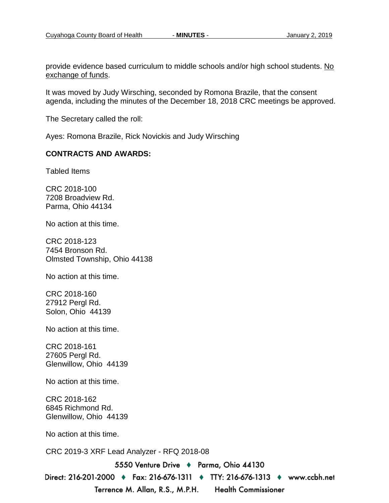provide evidence based curriculum to middle schools and/or high school students. No exchange of funds.

It was moved by Judy Wirsching, seconded by Romona Brazile, that the consent agenda, including the minutes of the December 18, 2018 CRC meetings be approved.

The Secretary called the roll:

Ayes: Romona Brazile, Rick Novickis and Judy Wirsching

## **CONTRACTS AND AWARDS:**

Tabled Items

CRC 2018-100 7208 Broadview Rd. Parma, Ohio 44134

No action at this time.

CRC 2018-123 7454 Bronson Rd. Olmsted Township, Ohio 44138

No action at this time.

CRC 2018-160 27912 Pergl Rd. Solon, Ohio 44139

No action at this time.

CRC 2018-161 27605 Pergl Rd. Glenwillow, Ohio 44139

No action at this time.

CRC 2018-162 6845 Richmond Rd. Glenwillow, Ohio 44139

No action at this time.

CRC 2019-3 XRF Lead Analyzer - RFQ 2018-08

5550 Venture Drive + Parma, Ohio 44130

Direct: 216-201-2000 ♦ Fax: 216-676-1311 ♦ TTY: 216-676-1313 ♦ www.ccbh.net Terrence M. Allan, R.S., M.P.H. **Health Commissioner**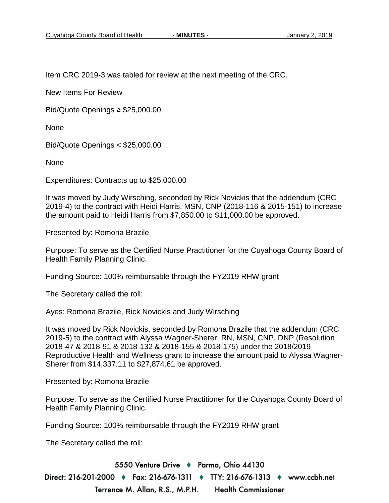Item CRC 2019-3 was tabled for review at the next meeting of the CRC.

New Items For Review

Bid/Quote Openings ≥ \$25,000.00

None

Bid/Quote Openings < \$25,000.00

None

Expenditures: Contracts up to \$25,000.00

It was moved by Judy Wirsching, seconded by Rick Novickis that the addendum (CRC 2019-4) to the contract with Heidi Harris, MSN, CNP (2018-116 & 2015-151) to increase the amount paid to Heidi Harris from \$7,850.00 to \$11,000.00 be approved.

Presented by: Romona Brazile

Purpose: To serve as the Certified Nurse Practitioner for the Cuyahoga County Board of Health Family Planning Clinic.

Funding Source: 100% reimbursable through the FY2019 RHW grant

The Secretary called the roll:

Ayes: Romona Brazile, Rick Novickis and Judy Wirsching

It was moved by Rick Novickis, seconded by Romona Brazile that the addendum (CRC 2019-5) to the contract with Alyssa Wagner-Sherer, RN, MSN, CNP, DNP (Resolution 2018-47 & 2018-91 & 2018-132 & 2018-155 & 2018-175) under the 2018/2019 Reproductive Health and Wellness grant to increase the amount paid to Alyssa Wagner-Sherer from \$14,337.11 to \$27,874.61 be approved.

Presented by: Romona Brazile

Purpose: To serve as the Certified Nurse Practitioner for the Cuyahoga County Board of Health Family Planning Clinic.

Funding Source: 100% reimbursable through the FY2019 RHW grant

The Secretary called the roll:

5550 Venture Drive + Parma, Ohio 44130 Direct: 216-201-2000 ♦ Fax: 216-676-1311 ♦ TTY: 216-676-1313 ♦ www.ccbh.net Terrence M. Allan, R.S., M.P.H. **Health Commissioner**